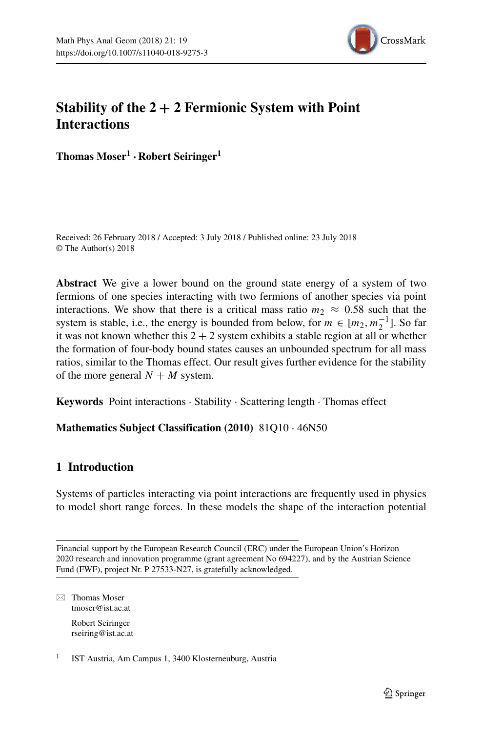

# **Stability of the 2 + 2 Fermionic System with Point Interactions**

**Thomas Moser1 · Robert Seiringer1**

Received: 26 February 2018 / Accepted: 3 July 2018 / Published online: 23 July 2018 © The Author(s) 2018

**Abstract** We give a lower bound on the ground state energy of a system of two fermions of one species interacting with two fermions of another species via point interactions. We show that there is a critical mass ratio  $m_2 \approx 0.58$  such that the system is stable, i.e., the energy is bounded from below, for  $m \in [m_2, m_2^{-1}]$ . So far it was not known whether this  $2 + 2$  system exhibits a stable region at all or whether the formation of four-body bound states causes an unbounded spectrum for all mass ratios, similar to the Thomas effect. Our result gives further evidence for the stability of the more general  $N + M$  system.

**Keywords** Point interactions · Stability · Scattering length · Thomas effect

## **Mathematics Subject Classification (2010)** 81Q10 · 46N50

## **1 Introduction**

Systems of particles interacting via point interactions are frequently used in physics to model short range forces. In these models the shape of the interaction potential

⊠ Thomas Moser [tmoser@ist.ac.at](mailto: tmoser@ist.ac.at) Robert Seiringer [rseiring@ist.ac.at](mailto: rseiring@ist.ac.at)

<sup>1</sup> IST Austria, Am Campus 1, 3400 Klosterneuburg, Austria

Financial support by the European Research Council (ERC) under the European Union's Horizon 2020 research and innovation programme (grant agreement No 694227), and by the Austrian Science Fund (FWF), project Nr. P 27533-N27, is gratefully acknowledged.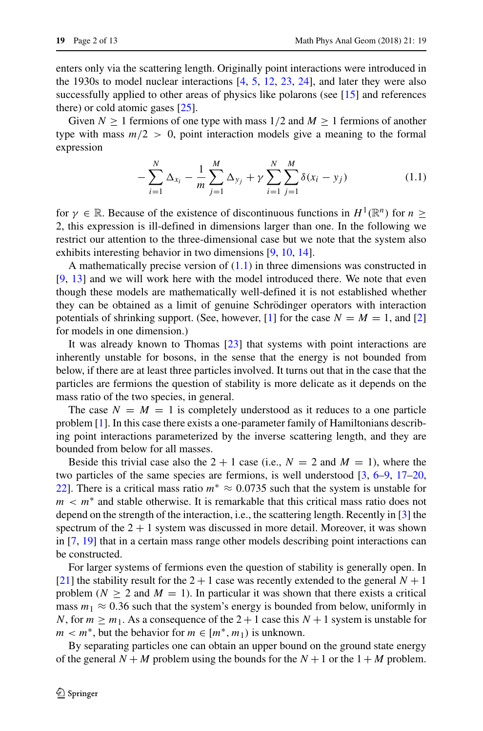enters only via the scattering length. Originally point interactions were introduced in the 1930s to model nuclear interactions  $[4, 5, 12, 23, 24]$  $[4, 5, 12, 23, 24]$  $[4, 5, 12, 23, 24]$  $[4, 5, 12, 23, 24]$  $[4, 5, 12, 23, 24]$  $[4, 5, 12, 23, 24]$  $[4, 5, 12, 23, 24]$  $[4, 5, 12, 23, 24]$  $[4, 5, 12, 23, 24]$ , and later they were also successfully applied to other areas of physics like polarons (see [\[15\]](#page-11-3) and references there) or cold atomic gases [\[25\]](#page-12-2).

Given  $N \ge 1$  fermions of one type with mass  $1/2$  and  $M \ge 1$  fermions of another type with mass  $m/2 > 0$ , point interaction models give a meaning to the formal expression

<span id="page-1-0"></span>
$$
-\sum_{i=1}^{N} \Delta_{x_i} - \frac{1}{m} \sum_{j=1}^{M} \Delta_{y_j} + \gamma \sum_{i=1}^{N} \sum_{j=1}^{M} \delta(x_i - y_j)
$$
(1.1)

for  $\gamma \in \mathbb{R}$ . Because of the existence of discontinuous functions in  $H^1(\mathbb{R}^n)$  for  $n \geq$ 2, this expression is ill-defined in dimensions larger than one. In the following we restrict our attention to the three-dimensional case but we note that the system also exhibits interesting behavior in two dimensions [\[9,](#page-11-4) [10,](#page-11-5) [14\]](#page-11-6).

A mathematically precise version of  $(1.1)$  in three dimensions was constructed in [\[9,](#page-11-4) [13\]](#page-11-7) and we will work here with the model introduced there. We note that even though these models are mathematically well-defined it is not established whether they can be obtained as a limit of genuine Schrödinger operators with interaction potentials of shrinking support. (See, however,  $[1]$  for the case  $N = M = 1$ , and  $[2]$ for models in one dimension.)

It was already known to Thomas [\[23\]](#page-12-0) that systems with point interactions are inherently unstable for bosons, in the sense that the energy is not bounded from below, if there are at least three particles involved. It turns out that in the case that the particles are fermions the question of stability is more delicate as it depends on the mass ratio of the two species, in general.

The case  $N = M = 1$  is completely understood as it reduces to a one particle problem [\[1\]](#page-11-8). In this case there exists a one-parameter family of Hamiltonians describing point interactions parameterized by the inverse scattering length, and they are bounded from below for all masses.

Beside this trivial case also the  $2 + 1$  case (i.e.,  $N = 2$  and  $M = 1$ ), where the two particles of the same species are fermions, is well understood [\[3,](#page-11-10) [6–](#page-11-11)[9,](#page-11-4) [17–](#page-12-3)[20,](#page-12-4) [22\]](#page-12-5). There is a critical mass ratio  $m^* \approx 0.0735$  such that the system is unstable for  $m < m^*$  and stable otherwise. It is remarkable that this critical mass ratio does not depend on the strength of the interaction, i.e., the scattering length. Recently in [\[3\]](#page-11-10) the spectrum of the  $2 + 1$  system was discussed in more detail. Moreover, it was shown in [\[7,](#page-11-12) [19\]](#page-12-6) that in a certain mass range other models describing point interactions can be constructed.

For larger systems of fermions even the question of stability is generally open. In [\[21\]](#page-12-7) the stability result for the  $2 + 1$  case was recently extended to the general  $N + 1$ problem ( $N \ge 2$  and  $M = 1$ ). In particular it was shown that there exists a critical mass  $m_1 \approx 0.36$  such that the system's energy is bounded from below, uniformly in *N*, for  $m \ge m_1$ . As a consequence of the 2 + 1 case this  $N + 1$  system is unstable for *m* <  $m$ <sup>\*</sup>, but the behavior for  $m \in [m^*, m_1)$  is unknown.

By separating particles one can obtain an upper bound on the ground state energy of the general  $N + M$  problem using the bounds for the  $N + 1$  or the  $1 + M$  problem.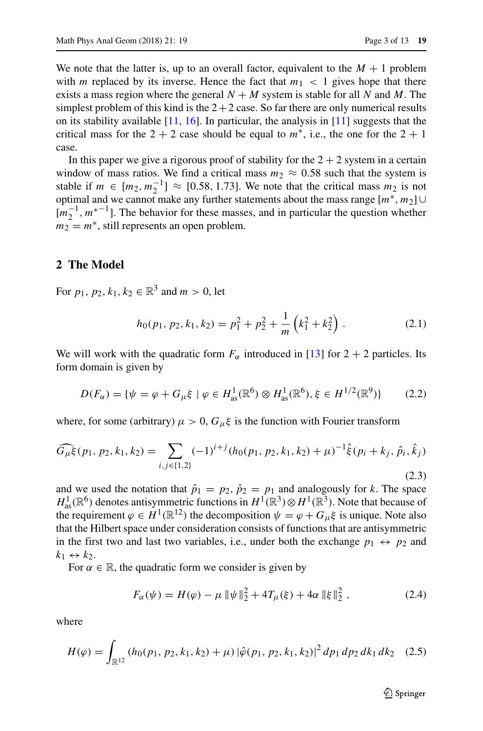We note that the latter is, up to an overall factor, equivalent to the  $M + 1$  problem with *m* replaced by its inverse. Hence the fact that  $m_1 < 1$  gives hope that there exists a mass region where the general  $N + M$  system is stable for all N and M. The simplest problem of this kind is the  $2+2$  case. So far there are only numerical results on its stability available  $[11, 16]$  $[11, 16]$  $[11, 16]$ . In particular, the analysis in  $[11]$  suggests that the critical mass for the  $2 + 2$  case should be equal to  $m^*$ , i.e., the one for the  $2 + 1$ case.

In this paper we give a rigorous proof of stability for the  $2 + 2$  system in a certain window of mass ratios. We find a critical mass  $m_2 \approx 0.58$  such that the system is stable if  $m \in [m_2, m_2^{-1}] \approx [0.58, 1.73]$ . We note that the critical mass  $m_2$  is not optimal and we cannot make any further statements about the mass range [*m*∗*, m*2] ∪ [ $m_2^{-1}$ ,  $m^*$ <sup>-1</sup>]. The behavior for these masses, and in particular the question whether  $m_2 = m^*$ , still represents an open problem.

#### **2 The Model**

For  $p_1, p_2, k_1, k_2 \in \mathbb{R}^3$  and  $m > 0$ , let

$$
h_0(p_1, p_2, k_1, k_2) = p_1^2 + p_2^2 + \frac{1}{m} \left( k_1^2 + k_2^2 \right) . \tag{2.1}
$$

We will work with the quadratic form  $F_\alpha$  introduced in [\[13\]](#page-11-7) for 2 + 2 particles. Its form domain is given by

$$
D(F_{\alpha}) = \{ \psi = \varphi + G_{\mu} \xi \mid \varphi \in H_{\text{as}}^1(\mathbb{R}^6) \otimes H_{\text{as}}^1(\mathbb{R}^6), \xi \in H^{1/2}(\mathbb{R}^9) \} \tag{2.2}
$$

where, for some (arbitrary)  $\mu > 0$ ,  $G_{\mu} \xi$  is the function with Fourier transform

$$
\widehat{G_{\mu}\xi}(p_1, p_2, k_1, k_2) = \sum_{i,j \in \{1,2\}} (-1)^{i+j} (h_0(p_1, p_2, k_1, k_2) + \mu)^{-1} \hat{\xi}(p_i + k_j, \hat{p}_i, \hat{k}_j)
$$
\n(2.3)

and we used the notation that  $\hat{p}_1 = p_2$ ,  $\hat{p}_2 = p_1$  and analogously for *k*. The space  $H^1_{as}(\mathbb{R}^6)$  denotes antisymmetric functions in  $H^1(\mathbb{R}^3) \otimes H^1(\mathbb{R}^3)$ . Note that because of the requirement  $\varphi \in H^1(\mathbb{R}^{12})$  the decomposition  $\psi = \varphi + G_\mu \xi$  is unique. Note also that the Hilbert space under consideration consists of functions that are antisymmetric in the first two and last two variables, i.e., under both the exchange  $p_1 \leftrightarrow p_2$  and  $k_1 \leftrightarrow k_2$ .

For  $\alpha \in \mathbb{R}$ , the quadratic form we consider is given by

$$
F_{\alpha}(\psi) = H(\varphi) - \mu \|\psi\|_{2}^{2} + 4T_{\mu}(\xi) + 4\alpha \|\xi\|_{2}^{2} , \qquad (2.4)
$$

where

$$
H(\varphi) = \int_{\mathbb{R}^{12}} \left( h_0(p_1, p_2, k_1, k_2) + \mu \right) \left| \hat{\varphi}(p_1, p_2, k_1, k_2) \right|^2 dp_1 dp_2 dk_1 dk_2 \quad (2.5)
$$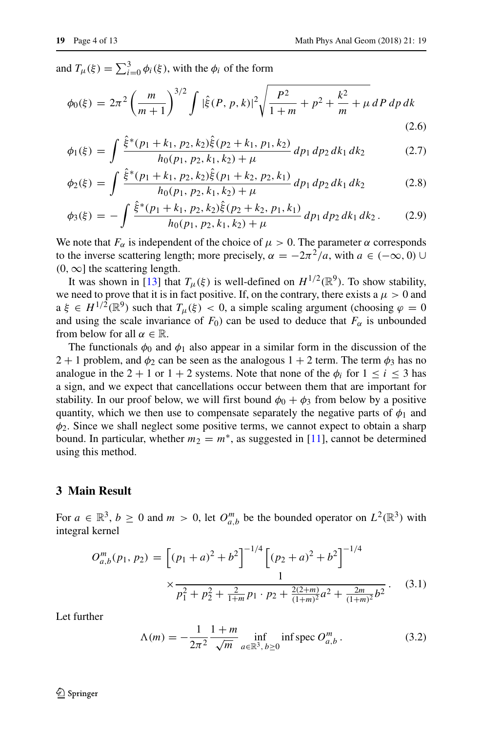and  $T_{\mu}(\xi) = \sum_{i=0}^{3} \phi_i(\xi)$ , with the  $\phi_i$  of the form

<span id="page-3-0"></span>
$$
\phi_0(\xi) = 2\pi^2 \left(\frac{m}{m+1}\right)^{3/2} \int |\hat{\xi}(P, p, k)|^2 \sqrt{\frac{P^2}{1+m}} + p^2 + \frac{k^2}{m} + \mu \, dP \, dp \, dk \tag{2.6}
$$

$$
\phi_1(\xi) = \int \frac{\hat{\xi}^*(p_1 + k_1, p_2, k_2)\hat{\xi}(p_2 + k_1, p_1, k_2)}{h_0(p_1, p_2, k_1, k_2) + \mu} dp_1 dp_2 dk_1 dk_2 \tag{2.7}
$$

$$
\phi_2(\xi) = \int \frac{\hat{\xi}^*(p_1 + k_1, p_2, k_2)\hat{\xi}(p_1 + k_2, p_2, k_1)}{h_0(p_1, p_2, k_1, k_2) + \mu} dp_1 dp_2 dk_1 dk_2 \tag{2.8}
$$

$$
\phi_3(\xi) = -\int \frac{\hat{\xi}^*(p_1+k_1, p_2, k_2)\hat{\xi}(p_2+k_2, p_1, k_1)}{h_0(p_1, p_2, k_1, k_2) + \mu} dp_1 dp_2 dk_1 dk_2.
$$
 (2.9)

We note that  $F_\alpha$  is independent of the choice of  $\mu > 0$ . The parameter  $\alpha$  corresponds to the inverse scattering length; more precisely,  $\alpha = -2\pi^2/a$ , with  $a \in (-\infty, 0) \cup$  $(0, \infty]$  the scattering length.

It was shown in [\[13\]](#page-11-7) that  $T_{\mu}(\xi)$  is well-defined on  $H^{1/2}(\mathbb{R}^9)$ . To show stability, we need to prove that it is in fact positive. If, on the contrary, there exists a  $\mu > 0$  and  $a \xi \in H^{1/2}(\mathbb{R}^9)$  such that  $T_\mu(\xi) < 0$ , a simple scaling argument (choosing  $\varphi = 0$ and using the scale invariance of  $F_0$ ) can be used to deduce that  $F_\alpha$  is unbounded from below for all  $\alpha \in \mathbb{R}$ .

The functionals  $\phi_0$  and  $\phi_1$  also appear in a similar form in the discussion of the 2 + 1 problem, and  $\phi_2$  can be seen as the analogous 1 + 2 term. The term  $\phi_3$  has no analogue in the 2 + 1 or 1 + 2 systems. Note that none of the  $\phi_i$  for  $1 \le i \le 3$  has a sign, and we expect that cancellations occur between them that are important for stability. In our proof below, we will first bound  $\phi_0 + \phi_3$  from below by a positive quantity, which we then use to compensate separately the negative parts of  $\phi_1$  and *φ*2. Since we shall neglect some positive terms, we cannot expect to obtain a sharp bound. In particular, whether  $m_2 = m^*$ , as suggested in [\[11\]](#page-11-13), cannot be determined using this method.

## **3 Main Result**

For  $a \in \mathbb{R}^3$ ,  $b \ge 0$  and  $m > 0$ , let  $O_{a,b}^m$  be the bounded operator on  $L^2(\mathbb{R}^3)$  with integral kernel

<span id="page-3-1"></span>
$$
O_{a,b}^{m}(p_1, p_2) = \left[ (p_1 + a)^2 + b^2 \right]^{-1/4} \left[ (p_2 + a)^2 + b^2 \right]^{-1/4}
$$

$$
\times \frac{1}{p_1^2 + p_2^2 + \frac{2}{1+m} p_1 \cdot p_2 + \frac{2(2+m)}{(1+m)^2} a^2 + \frac{2m}{(1+m)^2} b^2}.
$$
(3.1)

Let further

<span id="page-3-2"></span>
$$
\Lambda(m) = -\frac{1}{2\pi^2} \frac{1+m}{\sqrt{m}} \inf_{a \in \mathbb{R}^3, b \ge 0} \inf \text{spec } O_{a,b}^m. \tag{3.2}
$$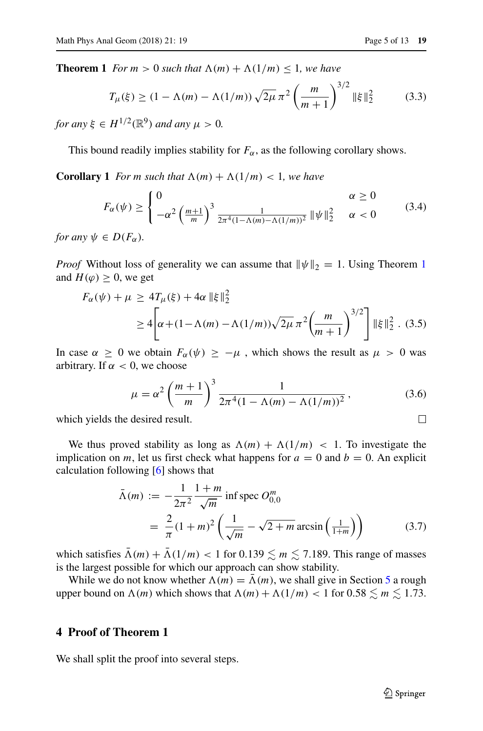<span id="page-4-0"></span>**Theorem 1** *For*  $m > 0$  *such that*  $\Lambda(m) + \Lambda(1/m) \leq 1$ *, we have* 

$$
T_{\mu}(\xi) \ge (1 - \Lambda(m) - \Lambda(1/m)) \sqrt{2\mu} \pi^2 \left(\frac{m}{m+1}\right)^{3/2} ||\xi||_2^2 \tag{3.3}
$$

*for any*  $\xi \in H^{1/2}(\mathbb{R}^9)$  *and any*  $\mu > 0$ .

This bound readily implies stability for  $F_\alpha$ , as the following corollary shows.

**Corollary 1** *For m such that*  $\Lambda(m) + \Lambda(1/m) < 1$ *, we have* 

$$
F_{\alpha}(\psi) \ge \begin{cases} 0 & \alpha \ge 0\\ -\alpha^2 \left(\frac{m+1}{m}\right)^3 \frac{1}{2\pi^4 (1-\Lambda(m)-\Lambda(1/m))^2} \|\psi\|_2^2 & \alpha < 0 \end{cases}
$$
(3.4)

*for any*  $\psi \in D(F_\alpha)$ *.* 

*Proof* Without loss of generality we can assume that  $\|\psi\|_2 = 1$  $\|\psi\|_2 = 1$ . Using Theorem 1 and  $H(\varphi) \geq 0$ , we get

$$
F_{\alpha}(\psi) + \mu \ge 4T_{\mu}(\xi) + 4\alpha \|\xi\|_2^2
$$
  
 
$$
\ge 4\left[\alpha + (1 - \Lambda(m) - \Lambda(1/m))\sqrt{2\mu} \pi^2 \left(\frac{m}{m+1}\right)^{3/2}\right] \|\xi\|_2^2
$$
 (3.5)

In case  $\alpha \geq 0$  we obtain  $F_{\alpha}(\psi) \geq -\mu$ , which shows the result as  $\mu > 0$  was arbitrary. If  $\alpha < 0$ , we choose

$$
\mu = \alpha^2 \left(\frac{m+1}{m}\right)^3 \frac{1}{2\pi^4 (1 - \Lambda(m) - \Lambda(1/m))^2},\tag{3.6}
$$

which yields the desired result.

We thus proved stability as long as  $\Lambda(m) + \Lambda(1/m) < 1$ . To investigate the implication on *m*, let us first check what happens for  $a = 0$  and  $b = 0$ . An explicit calculation following [\[6\]](#page-11-11) shows that

$$
\bar{\Lambda}(m) := -\frac{1}{2\pi^2} \frac{1+m}{\sqrt{m}} \text{ inf spec } O_{0,0}^m
$$
  
=  $\frac{2}{\pi} (1+m)^2 \left( \frac{1}{\sqrt{m}} - \sqrt{2+m} \arcsin\left(\frac{1}{1+m}\right) \right)$  (3.7)

which satisfies  $\Lambda(m) + \Lambda(1/m) < 1$  for  $0.139 \lesssim m \lesssim 7.189$ . This range of masses is the largest possible for which our approach can show stability.

While we do not know whether  $\Lambda(m) = \overline{\Lambda}(m)$ , we shall give in Section [5](#page-8-0) a rough upper bound on  $\Lambda(m)$  which shows that  $\Lambda(m) + \Lambda(1/m) < 1$  for  $0.58 \lesssim m \lesssim 1.73$ .

## **4 Proof of Theorem 1**

We shall split the proof into several steps.

 $\Box$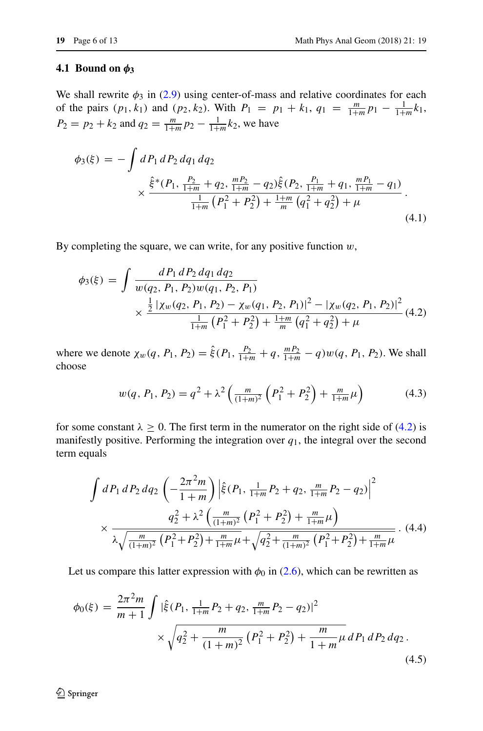#### **4.1 Bound on**  $φ_3$

We shall rewrite  $\phi_3$  in [\(2.9\)](#page-3-0) using center-of-mass and relative coordinates for each of the pairs  $(p_1, k_1)$  and  $(p_2, k_2)$ . With  $P_1 = p_1 + k_1$ ,  $q_1 = \frac{m}{1+m} p_1 - \frac{1}{1+m} k_1$ ,  $P_2 = p_2 + k_2$  and  $q_2 = \frac{m}{1+m} p_2 - \frac{1}{1+m} k_2$ , we have

$$
\phi_3(\xi) = -\int dP_1 \, dP_2 \, dq_1 \, dq_2
$$
\n
$$
\times \frac{\hat{\xi}^*(P_1, \frac{P_2}{1+m} + q_2, \frac{mP_2}{1+m} - q_2)\hat{\xi}(P_2, \frac{P_1}{1+m} + q_1, \frac{mP_1}{1+m} - q_1)}{\frac{1}{1+m}\left(P_1^2 + P_2^2\right) + \frac{1+m}{m}\left(q_1^2 + q_2^2\right) + \mu}.
$$
\n(4.1)

By completing the square, we can write, for any positive function *w*,

<span id="page-5-0"></span>
$$
\phi_3(\xi) = \int \frac{dP_1 \, dP_2 \, dq_1 \, dq_2}{w(q_2, P_1, P_2) w(q_1, P_2, P_1)} \times \frac{\frac{1}{2} \left| \chi_w(q_2, P_1, P_2) - \chi_w(q_1, P_2, P_1) \right|^2 - \left| \chi_w(q_2, P_1, P_2) \right|^2}{\frac{1}{1+m} \left( P_1^2 + P_2^2 \right) + \frac{1+m}{m} \left( q_1^2 + q_2^2 \right) + \mu} \tag{4.2}
$$

where we denote  $\chi_w(q, P_1, P_2) = \hat{\xi}(P_1, \frac{P_2}{1+m} + q, \frac{mP_2}{1+m} - q)w(q, P_1, P_2)$ . We shall choose

$$
w(q, P_1, P_2) = q^2 + \lambda^2 \left( \frac{m}{(1+m)^2} \left( P_1^2 + P_2^2 \right) + \frac{m}{1+m} \mu \right)
$$
(4.3)

for some constant  $\lambda \geq 0$ . The first term in the numerator on the right side of [\(4.2\)](#page-5-0) is manifestly positive. Performing the integration over  $q_1$ , the integral over the second term equals

$$
\int dP_1 \, dP_2 \, dq_2 \, \left( -\frac{2\pi^2 m}{1+m} \right) \left| \hat{\xi}(P_1, \frac{1}{1+m} P_2 + q_2, \frac{m}{1+m} P_2 - q_2) \right|^2
$$
\n
$$
\times \frac{q_2^2 + \lambda^2 \left( \frac{m}{(1+m)^2} \left( P_1^2 + P_2^2 \right) + \frac{m}{1+m} \mu \right)}{\lambda \sqrt{\frac{m}{(1+m)^2} \left( P_1^2 + P_2^2 \right) + \frac{m}{1+m} \mu} + \sqrt{q_2^2 + \frac{m}{(1+m)^2} \left( P_1^2 + P_2^2 \right) + \frac{m}{1+m} \mu}} \,. \tag{4.4}
$$

Let us compare this latter expression with  $\phi_0$  in [\(2.6\)](#page-3-0), which can be rewritten as

$$
\phi_0(\xi) = \frac{2\pi^2 m}{m+1} \int |\hat{\xi}(P_1, \frac{1}{1+m}P_2 + q_2, \frac{m}{1+m}P_2 - q_2)|^2
$$
  
 
$$
\times \sqrt{q_2^2 + \frac{m}{(1+m)^2} (P_1^2 + P_2^2) + \frac{m}{1+m}\mu} dP_1 dP_2 dq_2.
$$
 (4.5)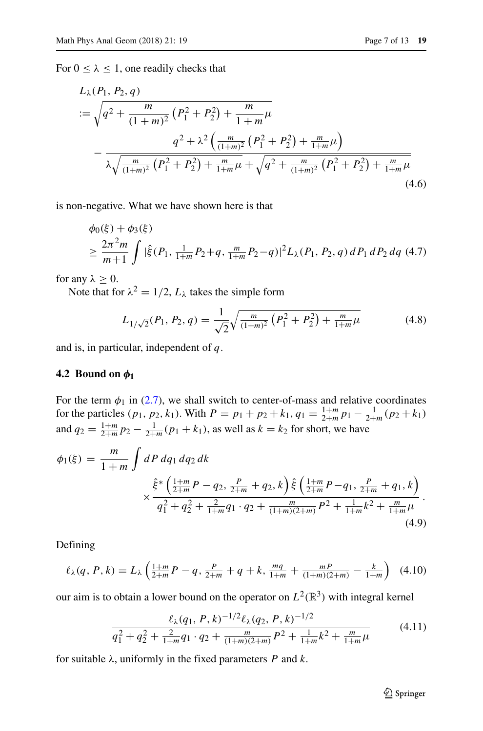For  $0 \le \lambda \le 1$ , one readily checks that

$$
L_{\lambda}(P_1, P_2, q)
$$
  
:=  $\sqrt{q^2 + \frac{m}{(1+m)^2} (P_1^2 + P_2^2) + \frac{m}{1+m}\mu}$   

$$
-\frac{q^2 + \lambda^2 \left(\frac{m}{(1+m)^2} (P_1^2 + P_2^2) + \frac{m}{1+m}\mu\right)}{\lambda \sqrt{\frac{m}{(1+m)^2} (P_1^2 + P_2^2) + \frac{m}{1+m}\mu} + \sqrt{q^2 + \frac{m}{(1+m)^2} (P_1^2 + P_2^2) + \frac{m}{1+m}\mu}}
$$
(4.6)

is non-negative. What we have shown here is that

<span id="page-6-1"></span>
$$
\begin{aligned} &\phi_0(\xi) + \phi_3(\xi) \\ &\ge \frac{2\pi^2 m}{m+1} \int |\hat{\xi}(P_1, \frac{1}{1+m}P_2 + q, \frac{m}{1+m}P_2 - q)|^2 L_\lambda(P_1, P_2, q) \, dP_1 \, dP_2 \, dq \ (4.7) \end{aligned}
$$

for any  $\lambda \geq 0$ .

Note that for  $\lambda^2 = 1/2$ ,  $L_\lambda$  takes the simple form

<span id="page-6-2"></span>
$$
L_{1/\sqrt{2}}(P_1, P_2, q) = \frac{1}{\sqrt{2}} \sqrt{\frac{m}{(1+m)^2} \left( P_1^2 + P_2^2 \right) + \frac{m}{1+m} \mu}
$$
(4.8)

and is, in particular, independent of *q*.

#### **4.2 Bound on** *φ***<sup>1</sup>**

For the term  $\phi_1$  in [\(2.7\)](#page-3-0), we shall switch to center-of-mass and relative coordinates for the particles  $(p_1, p_2, k_1)$ . With  $P = p_1 + p_2 + k_1$ ,  $q_1 = \frac{1+m}{2+m} p_1 - \frac{1}{2+m} (p_2 + k_1)$ and  $q_2 = \frac{1+m}{2+m} p_2 - \frac{1}{2+m} (p_1 + k_1)$ , as well as  $k = k_2$  for short, we have

$$
\phi_1(\xi) = \frac{m}{1+m} \int dP \, dq_1 \, dq_2 \, dk
$$
\n
$$
\times \frac{\hat{\xi}^* \left(\frac{1+m}{2+m}P - q_2, \frac{P}{2+m} + q_2, k\right) \hat{\xi} \left(\frac{1+m}{2+m}P - q_1, \frac{P}{2+m} + q_1, k\right)}{q_1^2 + q_2^2 + \frac{2}{1+m}q_1 \cdot q_2 + \frac{m}{(1+m)(2+m)}P^2 + \frac{1}{1+m}k^2 + \frac{m}{1+m}\mu}.
$$
\n(4.9)

Defining

<span id="page-6-0"></span>
$$
\ell_{\lambda}(q, P, k) = L_{\lambda}\left(\frac{1+m}{2+m}P - q, \frac{P}{2+m} + q + k, \frac{mq}{1+m} + \frac{mP}{(1+m)(2+m)} - \frac{k}{1+m}\right) (4.10)
$$

our aim is to obtain a lower bound on the operator on  $L^2(\mathbb{R}^3)$  with integral kernel

$$
\frac{\ell_{\lambda}(q_1, P, k)^{-1/2} \ell_{\lambda}(q_2, P, k)^{-1/2}}{q_1^2 + q_2^2 + \frac{2}{1 + m} q_1 \cdot q_2 + \frac{m}{(1 + m)(2 + m)} P^2 + \frac{1}{1 + m} k^2 + \frac{m}{1 + m} \mu}
$$
(4.11)

for suitable *λ*, uniformly in the fixed parameters *P* and *k*.

 $\textcircled{2}$  Springer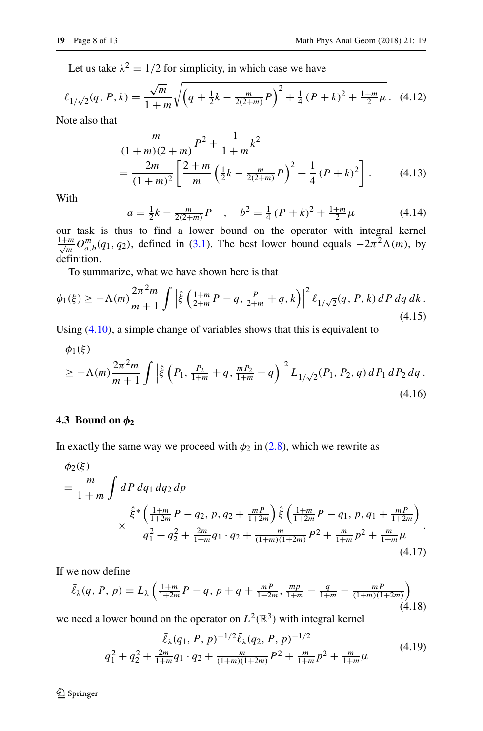Let us take  $\lambda^2 = 1/2$  for simplicity, in which case we have

$$
\ell_{1/\sqrt{2}}(q, P, k) = \frac{\sqrt{m}}{1 + m} \sqrt{\left(q + \frac{1}{2}k - \frac{m}{2(2+m)}P\right)^2 + \frac{1}{4}(P + k)^2 + \frac{1+m}{2}\mu}.
$$
 (4.12)

Note also that

$$
\frac{m}{(1+m)(2+m)}P^2 + \frac{1}{1+m}k^2
$$
\n
$$
= \frac{2m}{(1+m)^2} \left[ \frac{2+m}{m} \left( \frac{1}{2}k - \frac{m}{2(2+m)}P \right)^2 + \frac{1}{4} (P+k)^2 \right].
$$
\n(4.13)

With

$$
a = \frac{1}{2}k - \frac{m}{2(2+m)}P \quad , \quad b^2 = \frac{1}{4}(P+k)^2 + \frac{1+m}{2}\mu \tag{4.14}
$$

our task is thus to find a lower bound on the operator with integral kernel  $\frac{1+m}{\sqrt{m}}$  *O*<sub>*a*,*b*</sub>(*q*<sub>1</sub>*, q*<sub>2</sub>), defined in [\(3.1\)](#page-3-1). The best lower bound equals  $-2\pi^2 \Lambda(m)$ , by definition.

To summarize, what we have shown here is that

$$
\phi_1(\xi) \ge -\Lambda(m) \frac{2\pi^2 m}{m+1} \int \left| \hat{\xi} \left( \frac{1+m}{2+m} P - q, \frac{P}{2+m} + q, k \right) \right|^2 \ell_{1/\sqrt{2}}(q, P, k) \, dP \, dq \, dk \, . \tag{4.15}
$$

Using [\(4.10\)](#page-6-0), a simple change of variables shows that this is equivalent to

<span id="page-7-0"></span>
$$
\phi_1(\xi)
$$
  
\n
$$
\geq -\Lambda(m) \frac{2\pi^2 m}{m+1} \int \left| \hat{\xi} \left( P_1, \frac{P_2}{1+m} + q, \frac{mP_2}{1+m} - q \right) \right|^2 L_{1/\sqrt{2}}(P_1, P_2, q) dP_1 dP_2 dq.
$$
\n(4.16)

### **4.3 Bound on** *φ***<sup>2</sup>**

In exactly the same way we proceed with  $\phi_2$  in [\(2.8\)](#page-3-0), which we rewrite as

$$
\begin{split} \phi_2(\xi) \\ &= \frac{m}{1+m} \int dP \, dq_1 \, dq_2 \, dp \\ &\times \frac{\hat{\xi}^* \left( \frac{1+m}{1+2m} P - q_2, \, p, \, q_2 + \frac{mP}{1+2m} \right) \hat{\xi} \left( \frac{1+m}{1+2m} P - q_1, \, p, \, q_1 + \frac{mP}{1+2m} \right)}{q_1^2 + q_2^2 + \frac{2m}{1+m} q_1 \cdot q_2 + \frac{m}{(1+m)(1+2m)} P^2 + \frac{m}{1+m} p^2 + \frac{m}{1+m} \mu} . \end{split} \tag{4.17}
$$

If we now define

$$
\tilde{\ell}_{\lambda}(q, P, p) = L_{\lambda}\left(\frac{1+m}{1+2m}P - q, p+q + \frac{mP}{1+2m}, \frac{mp}{1+m} - \frac{q}{1+m} - \frac{mP}{(1+m)(1+2m)}\right)
$$
\n(4.18)

we need a lower bound on the operator on  $L^2(\mathbb{R}^3)$  with integral kernel

$$
\frac{\tilde{\ell}_{\lambda}(q_1, P, p)^{-1/2} \tilde{\ell}_{\lambda}(q_2, P, p)^{-1/2}}{q_1^2 + q_2^2 + \frac{2m}{1+m} q_1 \cdot q_2 + \frac{m}{(1+m)(1+2m)} P^2 + \frac{m}{1+m} p^2 + \frac{m}{1+m} \mu}
$$
(4.19)

2 Springer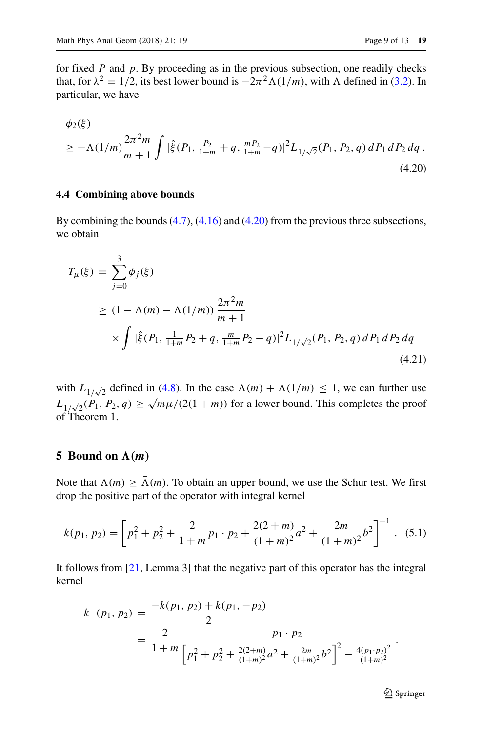for fixed *P* and *p*. By proceeding as in the previous subsection, one readily checks that, for  $\lambda^2 = 1/2$ , its best lower bound is  $-2\pi^2 \Lambda(1/m)$ , with  $\Lambda$  defined in [\(3.2\)](#page-3-2). In particular, we have

<span id="page-8-1"></span>
$$
\phi_2(\xi)
$$
  
\n
$$
\geq -\Lambda(1/m)\frac{2\pi^2 m}{m+1} \int |\hat{\xi}(P_1, \frac{P_2}{1+m} + q, \frac{mP_2}{1+m} - q)|^2 L_{1/\sqrt{2}}(P_1, P_2, q) dP_1 dP_2 dq.
$$
\n(4.20)

#### **4.4 Combining above bounds**

By combining the bounds [\(4.7\)](#page-6-1), [\(4.16\)](#page-7-0) and [\(4.20\)](#page-8-1) from the previous three subsections, we obtain

$$
T_{\mu}(\xi) = \sum_{j=0}^{3} \phi_{j}(\xi)
$$
  
\n
$$
\geq (1 - \Lambda(m) - \Lambda(1/m)) \frac{2\pi^{2}m}{m+1}
$$
  
\n
$$
\times \int |\hat{\xi}(P_{1}, \frac{1}{1+m}P_{2} + q, \frac{m}{1+m}P_{2} - q)|^{2} L_{1/\sqrt{2}}(P_{1}, P_{2}, q) dP_{1} dP_{2} dq
$$
  
\n(4.21)

with  $L_{1/\sqrt{2}}$  defined in [\(4.8\)](#page-6-2). In the case  $\Lambda(m) + \Lambda(1/m) \leq 1$ , we can further use  $L_{1/\sqrt{2}}(P_1, P_2, q) \ge \sqrt{m\mu/(2(1+m))}$  for a lower bound. This completes the proof of Theorem 1.

#### <span id="page-8-0"></span>**5** Bound on  $\Lambda(m)$

Note that  $\Lambda(m) \geq \overline{\Lambda}(m)$ . To obtain an upper bound, we use the Schur test. We first drop the positive part of the operator with integral kernel

$$
k(p_1, p_2) = \left[ p_1^2 + p_2^2 + \frac{2}{1+m} p_1 \cdot p_2 + \frac{2(2+m)}{(1+m)^2} a^2 + \frac{2m}{(1+m)^2} b^2 \right]^{-1} . \tag{5.1}
$$

It follows from [\[21,](#page-12-7) Lemma 3] that the negative part of this operator has the integral kernel

$$
k_{-}(p_1, p_2) = \frac{-k(p_1, p_2) + k(p_1, -p_2)}{2}
$$
  
= 
$$
\frac{2}{1 + m} \frac{p_1 \cdot p_2}{\left[p_1^2 + p_2^2 + \frac{2(2+m)}{(1+m)^2}a^2 + \frac{2m}{(1+m)^2}b^2\right]^2 - \frac{4(p_1 \cdot p_2)^2}{(1+m)^2}}.
$$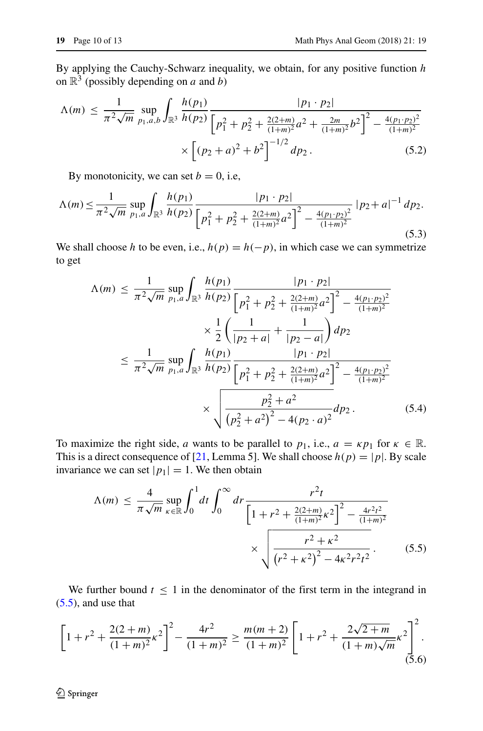By applying the Cauchy-Schwarz inequality, we obtain, for any positive function *h* on  $\mathbb{R}^3$  (possibly depending on *a* and *b*)

$$
\Lambda(m) \le \frac{1}{\pi^2 \sqrt{m}} \sup_{p_1, a, b} \int_{\mathbb{R}^3} \frac{h(p_1)}{h(p_2)} \frac{|p_1 \cdot p_2|}{\left[p_1^2 + p_2^2 + \frac{2(2+m)}{(1+m)^2} a^2 + \frac{2m}{(1+m)^2} b^2\right]^2 - \frac{4(p_1 \cdot p_2)^2}{(1+m)^2}} \times \left[ (p_2 + a)^2 + b^2 \right]^{-1/2} dp_2.
$$
\n(5.2)

By monotonicity, we can set  $b = 0$ , i.e,

$$
\Lambda(m) \le \frac{1}{\pi^2 \sqrt{m}} \sup_{p_1, a} \int_{\mathbb{R}^3} \frac{h(p_1)}{h(p_2)} \frac{|p_1 \cdot p_2|}{\left[p_1^2 + p_2^2 + \frac{2(2+m)}{(1+m)^2} a^2\right]^2 - \frac{4(p_1 \cdot p_2)^2}{(1+m)^2}} |p_2 + a|^{-1} \, dp_2.
$$
\n(5.3)

We shall choose *h* to be even, i.e.,  $h(p) = h(-p)$ , in which case we can symmetrize to get

$$
\Lambda(m) \leq \frac{1}{\pi^2 \sqrt{m}} \sup_{p_1, a} \int_{\mathbb{R}^3} \frac{h(p_1)}{h(p_2)} \frac{|p_1 \cdot p_2|}{\left[p_1^2 + p_2^2 + \frac{2(2+m)}{(1+m)^2}a^2\right]^2 - \frac{4(p_1 \cdot p_2)^2}{(1+m)^2}} \times \frac{1}{2} \left(\frac{1}{|p_2 + a|} + \frac{1}{|p_2 - a|}\right) dp_2
$$
  

$$
\leq \frac{1}{\pi^2 \sqrt{m}} \sup_{p_1, a} \int_{\mathbb{R}^3} \frac{h(p_1)}{h(p_2)} \frac{|p_1 \cdot p_2|}{\left[p_1^2 + p_2^2 + \frac{2(2+m)}{(1+m)^2}a^2\right]^2 - \frac{4(p_1 \cdot p_2)^2}{(1+m)^2}} \times \sqrt{\frac{p_2^2 + a^2}{(p_2^2 + a^2)^2 - 4(p_2 \cdot a)^2}} dp_2.
$$
(5.4)

To maximize the right side, *a* wants to be parallel to  $p_1$ , i.e.,  $a = \kappa p_1$  for  $\kappa \in \mathbb{R}$ . This is a direct consequence of [\[21,](#page-12-7) Lemma 5]. We shall choose  $h(p) = |p|$ . By scale invariance we can set  $|p_1| = 1$ . We then obtain

<span id="page-9-0"></span>
$$
\Lambda(m) \le \frac{4}{\pi \sqrt{m}} \sup_{\kappa \in \mathbb{R}} \int_0^1 dt \int_0^\infty dr \frac{r^2 t}{\left[1 + r^2 + \frac{2(2+m)}{(1+m)^2} \kappa^2\right]^2 - \frac{4r^2 t^2}{(1+m)^2}} \times \sqrt{\frac{r^2 + \kappa^2}{\left(r^2 + \kappa^2\right)^2 - 4\kappa^2 r^2 t^2}}.
$$
(5.5)

We further bound  $t \leq 1$  in the denominator of the first term in the integrand in [\(5.5\)](#page-9-0), and use that

$$
\left[1 + r^2 + \frac{2(2+m)}{(1+m)^2} \kappa^2\right]^2 - \frac{4r^2}{(1+m)^2} \ge \frac{m(m+2)}{(1+m)^2} \left[1 + r^2 + \frac{2\sqrt{2+m}}{(1+m)\sqrt{m}} \kappa^2\right]^2.
$$
\n(5.6)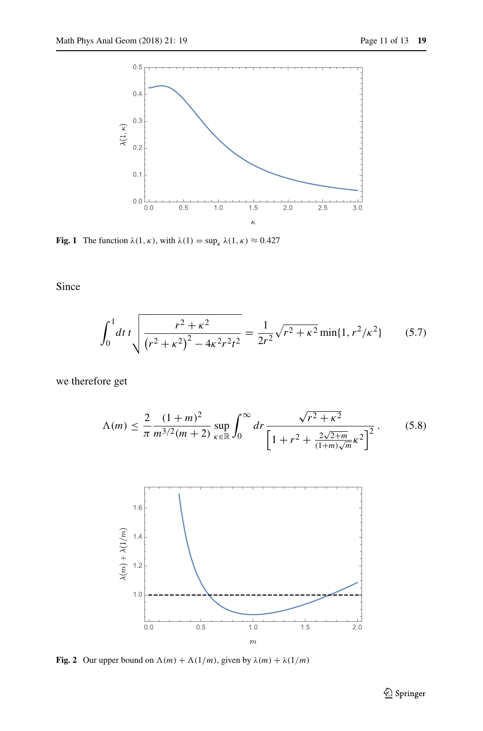<span id="page-10-1"></span>

**Fig. 1** The function  $\lambda(1, \kappa)$ , with  $\lambda(1) = \sup_{k} \lambda(1, \kappa) \approx 0.427$ 

Since

$$
\int_0^1 dt \, t \sqrt{\frac{r^2 + \kappa^2}{\left(r^2 + \kappa^2\right)^2 - 4\kappa^2 r^2 t^2}} = \frac{1}{2r^2} \sqrt{r^2 + \kappa^2} \min\{1, r^2/\kappa^2\} \tag{5.7}
$$

we therefore get

<span id="page-10-0"></span>
$$
\Lambda(m) \le \frac{2}{\pi} \frac{(1+m)^2}{m^{3/2}(m+2)} \sup_{\kappa \in \mathbb{R}} \int_0^\infty dr \frac{\sqrt{r^2 + \kappa^2}}{\left[1 + r^2 + \frac{2\sqrt{2+m}}{(1+m)\sqrt{m}} \kappa^2\right]^2}.
$$
 (5.8)

<span id="page-10-2"></span>

**Fig. 2** Our upper bound on  $\Lambda(m) + \Lambda(1/m)$ , given by  $\lambda(m) + \lambda(1/m)$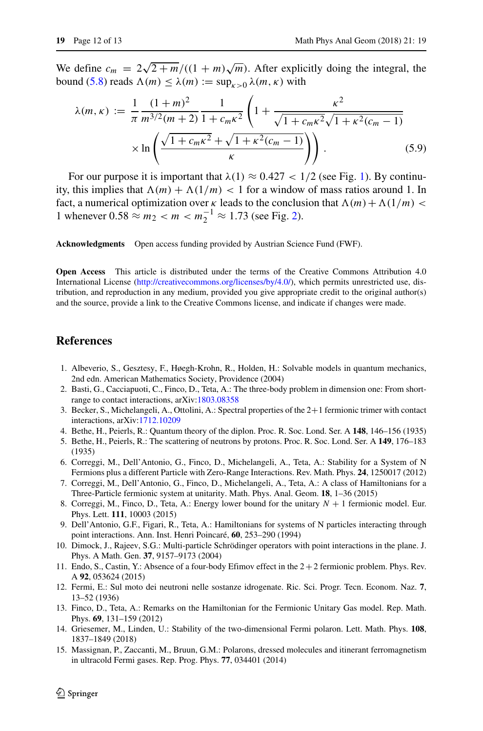We define  $c_m = 2\sqrt{2+m}/((1+m)\sqrt{m})$ . After explicitly doing the integral, the bound [\(5.8\)](#page-10-0) reads  $\Lambda(m) \leq \lambda(m) := \sup_{\kappa > 0} \lambda(m, \kappa)$  with

$$
\lambda(m,\kappa) := \frac{1}{\pi} \frac{(1+m)^2}{m^{3/2}(m+2)} \frac{1}{1+c_m\kappa^2} \left(1 + \frac{\kappa^2}{\sqrt{1+c_m\kappa^2}\sqrt{1+\kappa^2(c_m-1)}}\right) \times \ln\left(\frac{\sqrt{1+c_m\kappa^2}+\sqrt{1+\kappa^2(c_m-1)}}{\kappa}\right) \right). \tag{5.9}
$$

For our purpose it is important that  $\lambda(1) \approx 0.427 < 1/2$  $\lambda(1) \approx 0.427 < 1/2$  $\lambda(1) \approx 0.427 < 1/2$  (see Fig. 1). By continuity, this implies that  $\Lambda(m) + \Lambda(1/m) < 1$  for a window of mass ratios around 1. In fact, a numerical optimization over  $\kappa$  leads to the conclusion that  $\Lambda(m) + \Lambda(1/m)$ 1 whenever  $0.58 \approx m_2 < m < m_2^{-1} \approx 1.73$  (see Fig. [2\)](#page-10-2).

**Acknowledgments** Open access funding provided by Austrian Science Fund (FWF).

**Open Access** This article is distributed under the terms of the Creative Commons Attribution 4.0 International License [\(http://creativecommons.org/licenses/by/4.0/\)](http://creativecommons.org/licenses/by/4.0/), which permits unrestricted use, distribution, and reproduction in any medium, provided you give appropriate credit to the original author(s) and the source, provide a link to the Creative Commons license, and indicate if changes were made.

#### **References**

- <span id="page-11-8"></span>1. Albeverio, S., Gesztesy, F., Høegh-Krohn, R., Holden, H.: Solvable models in quantum mechanics, 2nd edn. American Mathematics Society, Providence (2004)
- <span id="page-11-9"></span>2. Basti, G., Cacciapuoti, C., Finco, D., Teta, A.: The three-body problem in dimension one: From shortrange to contact interactions, arXiv[:1803.08358](http://arXiv.org/abs/1803.08358)
- <span id="page-11-10"></span>3. Becker, S., Michelangeli, A., Ottolini, A.: Spectral properties of the 2+1 fermionic trimer with contact interactions, arXiv[:1712.10209](http://arXiv.org/abs/1712.10209)
- <span id="page-11-0"></span>4. Bethe, H., Peierls, R.: Quantum theory of the diplon. Proc. R. Soc. Lond. Ser. A **148**, 146–156 (1935)
- <span id="page-11-1"></span>5. Bethe, H., Peierls, R.: The scattering of neutrons by protons. Proc. R. Soc. Lond. Ser. A **149**, 176–183 (1935)
- <span id="page-11-11"></span>6. Correggi, M., Dell'Antonio, G., Finco, D., Michelangeli, A., Teta, A.: Stability for a System of N Fermions plus a different Particle with Zero-Range Interactions. Rev. Math. Phys. **24**, 1250017 (2012)
- <span id="page-11-12"></span>7. Correggi, M., Dell'Antonio, G., Finco, D., Michelangeli, A., Teta, A.: A class of Hamiltonians for a Three-Particle fermionic system at unitarity. Math. Phys. Anal. Geom. **18**, 1–36 (2015)
- 8. Correggi, M., Finco, D., Teta, A.: Energy lower bound for the unitary *N* + 1 fermionic model. Eur. Phys. Lett. **111**, 10003 (2015)
- <span id="page-11-4"></span>9. Dell'Antonio, G.F., Figari, R., Teta, A.: Hamiltonians for systems of N particles interacting through point interactions. Ann. Inst. Henri Poincaré, 60, 253–290 (1994)
- <span id="page-11-5"></span>10. Dimock, J., Rajeev, S.G.: Multi-particle Schrödinger operators with point interactions in the plane. J. Phys. A Math. Gen. **37**, 9157–9173 (2004)
- <span id="page-11-13"></span>11. Endo, S., Castin, Y.: Absence of a four-body Efimov effect in the 2+2 fermionic problem. Phys. Rev. A **92**, 053624 (2015)
- <span id="page-11-2"></span>12. Fermi, E.: Sul moto dei neutroni nelle sostanze idrogenate. Ric. Sci. Progr. Tecn. Econom. Naz. **7**, 13–52 (1936)
- <span id="page-11-7"></span>13. Finco, D., Teta, A.: Remarks on the Hamiltonian for the Fermionic Unitary Gas model. Rep. Math. Phys. **69**, 131–159 (2012)
- <span id="page-11-6"></span>14. Griesemer, M., Linden, U.: Stability of the two-dimensional Fermi polaron. Lett. Math. Phys. **108**, 1837–1849 (2018)
- <span id="page-11-3"></span>15. Massignan, P., Zaccanti, M., Bruun, G.M.: Polarons, dressed molecules and itinerant ferromagnetism in ultracold Fermi gases. Rep. Prog. Phys. **77**, 034401 (2014)